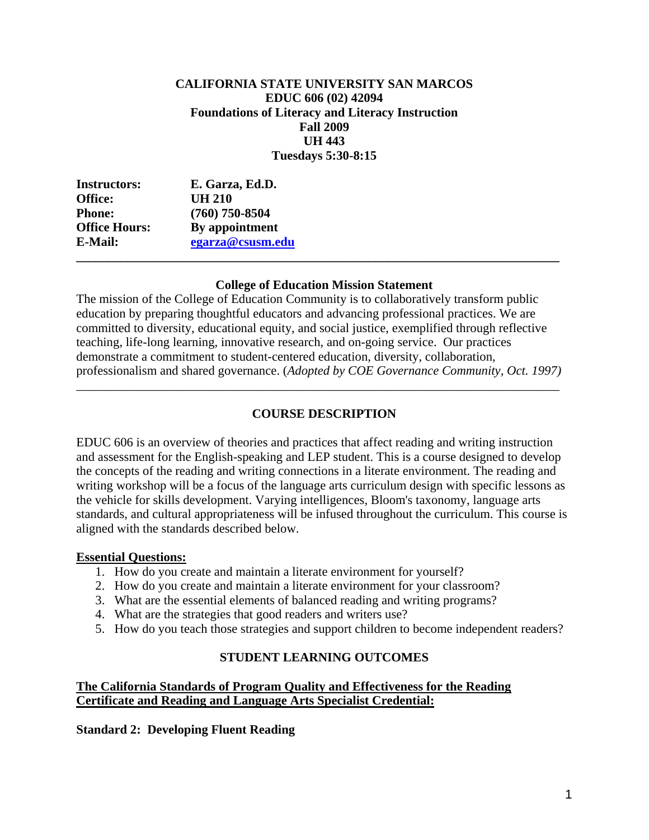## **CALIFORNIA STATE UNIVERSITY SAN MARCOS EDUC 606 (02) 42094 Foundations of Literacy and Literacy Instruction Fall 2009 UH 443 Tuesdays 5:30-8:15**

| <b>Instructors:</b>  | E. Garza, Ed.D.  |  |
|----------------------|------------------|--|
| <b>Office:</b>       | <b>UH 210</b>    |  |
| <b>Phone:</b>        | $(760)$ 750-8504 |  |
| <b>Office Hours:</b> | By appointment   |  |
| E-Mail:              | egarza@csusm.edu |  |
|                      |                  |  |

### **College of Education Mission Statement**

The mission of the College of Education Community is to collaboratively transform public education by preparing thoughtful educators and advancing professional practices. We are committed to diversity, educational equity, and social justice, exemplified through reflective teaching, life-long learning, innovative research, and on-going service. Our practices demonstrate a commitment to student-centered education, diversity, collaboration, professionalism and shared governance. (*Adopted by COE Governance Community, Oct. 1997)* 

## **COURSE DESCRIPTION**

\_\_\_\_\_\_\_\_\_\_\_\_\_\_\_\_\_\_\_\_\_\_\_\_\_\_\_\_\_\_\_\_\_\_\_\_\_\_\_\_\_\_\_\_\_\_\_\_\_\_\_\_\_\_\_\_\_\_\_\_\_\_\_\_\_\_\_\_\_\_\_\_\_\_\_\_

EDUC 606 is an overview of theories and practices that affect reading and writing instruction and assessment for the English-speaking and LEP student. This is a course designed to develop the concepts of the reading and writing connections in a literate environment. The reading and writing workshop will be a focus of the language arts curriculum design with specific lessons as the vehicle for skills development. Varying intelligences, Bloom's taxonomy, language arts standards, and cultural appropriateness will be infused throughout the curriculum. This course is aligned with the standards described below.

#### **Essential Questions:**

- 1. How do you create and maintain a literate environment for yourself?
- 2. How do you create and maintain a literate environment for your classroom?
- 3. What are the essential elements of balanced reading and writing programs?
- 4. What are the strategies that good readers and writers use?
- 5. How do you teach those strategies and support children to become independent readers?

### **STUDENT LEARNING OUTCOMES**

## **The California Standards of Program Quality and Effectiveness for the Reading Certificate and Reading and Language Arts Specialist Credential:**

**Standard 2: Developing Fluent Reading**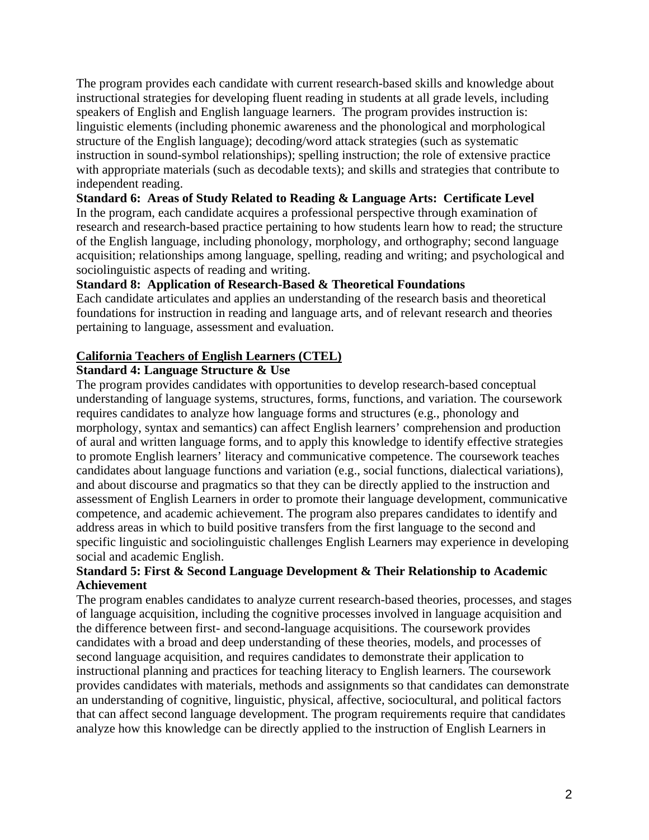The program provides each candidate with current research-based skills and knowledge about instructional strategies for developing fluent reading in students at all grade levels, including speakers of English and English language learners. The program provides instruction is: linguistic elements (including phonemic awareness and the phonological and morphological structure of the English language); decoding/word attack strategies (such as systematic instruction in sound-symbol relationships); spelling instruction; the role of extensive practice with appropriate materials (such as decodable texts); and skills and strategies that contribute to independent reading.

**Standard 6: Areas of Study Related to Reading & Language Arts: Certificate Level**  In the program, each candidate acquires a professional perspective through examination of research and research-based practice pertaining to how students learn how to read; the structure of the English language, including phonology, morphology, and orthography; second language acquisition; relationships among language, spelling, reading and writing; and psychological and sociolinguistic aspects of reading and writing.

## **Standard 8: Application of Research-Based & Theoretical Foundations**

Each candidate articulates and applies an understanding of the research basis and theoretical foundations for instruction in reading and language arts, and of relevant research and theories pertaining to language, assessment and evaluation.

## **California Teachers of English Learners (CTEL)**

## **Standard 4: Language Structure & Use**

The program provides candidates with opportunities to develop research-based conceptual understanding of language systems, structures, forms, functions, and variation. The coursework requires candidates to analyze how language forms and structures (e.g., phonology and morphology, syntax and semantics) can affect English learners' comprehension and production of aural and written language forms, and to apply this knowledge to identify effective strategies to promote English learners' literacy and communicative competence. The coursework teaches candidates about language functions and variation (e.g., social functions, dialectical variations), and about discourse and pragmatics so that they can be directly applied to the instruction and assessment of English Learners in order to promote their language development, communicative competence, and academic achievement. The program also prepares candidates to identify and address areas in which to build positive transfers from the first language to the second and specific linguistic and sociolinguistic challenges English Learners may experience in developing social and academic English.

## **Standard 5: First & Second Language Development & Their Relationship to Academic Achievement**

The program enables candidates to analyze current research-based theories, processes, and stages of language acquisition, including the cognitive processes involved in language acquisition and the difference between first- and second-language acquisitions. The coursework provides candidates with a broad and deep understanding of these theories, models, and processes of second language acquisition, and requires candidates to demonstrate their application to instructional planning and practices for teaching literacy to English learners. The coursework provides candidates with materials, methods and assignments so that candidates can demonstrate an understanding of cognitive, linguistic, physical, affective, sociocultural, and political factors that can affect second language development. The program requirements require that candidates analyze how this knowledge can be directly applied to the instruction of English Learners in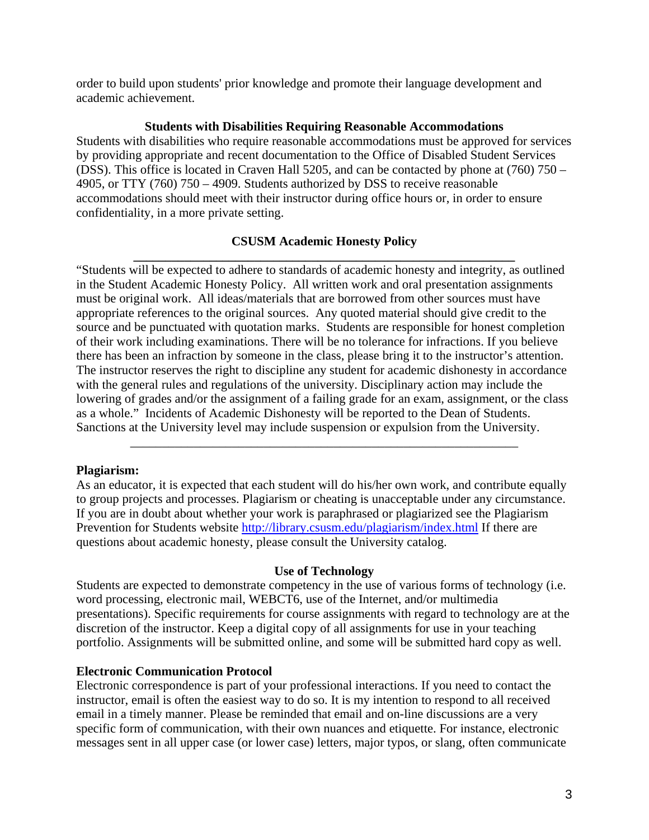order to build upon students' prior knowledge and promote their language development and academic achievement.

### **Students with Disabilities Requiring Reasonable Accommodations**

Students with disabilities who require reasonable accommodations must be approved for services by providing appropriate and recent documentation to the Office of Disabled Student Services (DSS). This office is located in Craven Hall 5205, and can be contacted by phone at (760) 750 – 4905, or TTY (760) 750 – 4909. Students authorized by DSS to receive reasonable accommodations should meet with their instructor during office hours or, in order to ensure confidentiality, in a more private setting.

## **CSUSM Academic Honesty Policy**

**\_\_\_\_\_\_\_\_\_\_\_\_\_\_\_\_\_\_\_\_\_\_\_\_\_\_\_\_\_\_\_\_\_\_\_\_\_\_\_\_\_\_\_\_\_\_\_\_\_\_\_\_\_\_\_\_\_\_\_\_**  "Students will be expected to adhere to standards of academic honesty and integrity, as outlined in the Student Academic Honesty Policy. All written work and oral presentation assignments must be original work. All ideas/materials that are borrowed from other sources must have appropriate references to the original sources. Any quoted material should give credit to the source and be punctuated with quotation marks. Students are responsible for honest completion of their work including examinations. There will be no tolerance for infractions. If you believe there has been an infraction by someone in the class, please bring it to the instructor's attention. The instructor reserves the right to discipline any student for academic dishonesty in accordance with the general rules and regulations of the university. Disciplinary action may include the lowering of grades and/or the assignment of a failing grade for an exam, assignment, or the class as a whole." Incidents of Academic Dishonesty will be reported to the Dean of Students. Sanctions at the University level may include suspension or expulsion from the University.

### **Plagiarism:**

As an educator, it is expected that each student will do his/her own work, and contribute equally to group projects and processes. Plagiarism or cheating is unacceptable under any circumstance. If you are in doubt about whether your work is paraphrased or plagiarized see the Plagiarism Prevention for Students website http://library.csusm.edu/plagiarism/index.html If there are questions about academic honesty, please consult the University catalog.

\_\_\_\_\_\_\_\_\_\_\_\_\_\_\_\_\_\_\_\_\_\_\_\_\_\_\_\_\_\_\_\_\_\_\_\_\_\_\_\_\_\_\_\_\_\_\_\_\_\_\_\_\_\_\_\_\_\_\_\_\_

### **Use of Technology**

Students are expected to demonstrate competency in the use of various forms of technology (i.e. word processing, electronic mail, WEBCT6, use of the Internet, and/or multimedia presentations). Specific requirements for course assignments with regard to technology are at the discretion of the instructor. Keep a digital copy of all assignments for use in your teaching portfolio. Assignments will be submitted online, and some will be submitted hard copy as well.

### **Electronic Communication Protocol**

Electronic correspondence is part of your professional interactions. If you need to contact the instructor, email is often the easiest way to do so. It is my intention to respond to all received email in a timely manner. Please be reminded that email and on-line discussions are a very specific form of communication, with their own nuances and etiquette. For instance, electronic messages sent in all upper case (or lower case) letters, major typos, or slang, often communicate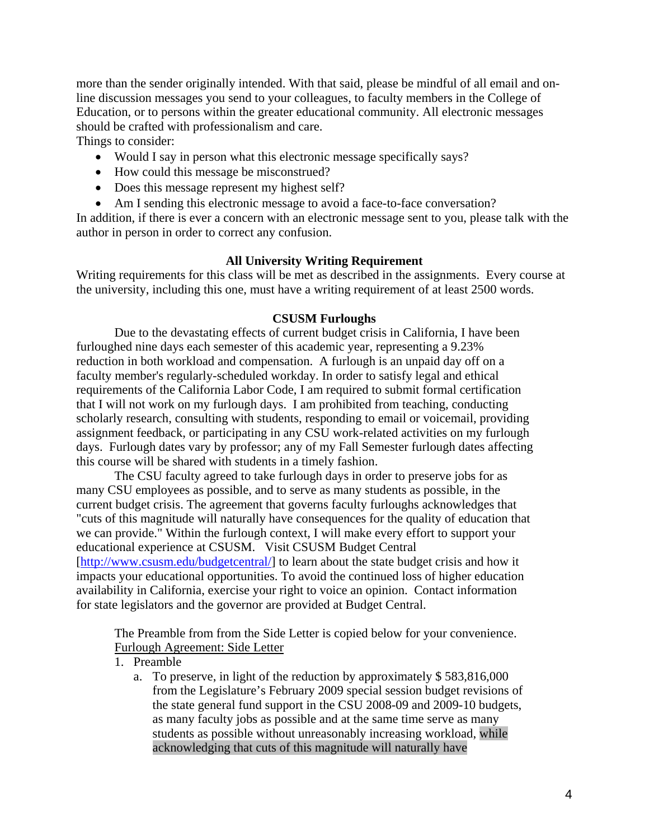more than the sender originally intended. With that said, please be mindful of all email and online discussion messages you send to your colleagues, to faculty members in the College of Education, or to persons within the greater educational community. All electronic messages should be crafted with professionalism and care. Things to consider:

• Would I say in person what this electronic message specifically says?

- How could this message be misconstrued?
- Does this message represent my highest self?
- Am I sending this electronic message to avoid a face-to-face conversation?

In addition, if there is ever a concern with an electronic message sent to you, please talk with the author in person in order to correct any confusion.

### **All University Writing Requirement**

Writing requirements for this class will be met as described in the assignments. Every course at the university, including this one, must have a writing requirement of at least 2500 words.

#### **CSUSM Furloughs**

Due to the devastating effects of current budget crisis in California, I have been furloughed nine days each semester of this academic year, representing a 9.23% reduction in both workload and compensation. A furlough is an unpaid day off on a faculty member's regularly-scheduled workday. In order to satisfy legal and ethical requirements of the California Labor Code, I am required to submit formal certification that I will not work on my furlough days. I am prohibited from teaching, conducting scholarly research, consulting with students, responding to email or voicemail, providing assignment feedback, or participating in any CSU work-related activities on my furlough days. Furlough dates vary by professor; any of my Fall Semester furlough dates affecting this course will be shared with students in a timely fashion.

The CSU faculty agreed to take furlough days in order to preserve jobs for as many CSU employees as possible, and to serve as many students as possible, in the current budget crisis. The agreement that governs faculty furloughs acknowledges that "cuts of this magnitude will naturally have consequences for the quality of education that we can provide." Within the furlough context, I will make every effort to support your educational experience at CSUSM. Visit CSUSM Budget Central [http://www.csusm.edu/budgetcentral/] to learn about the state budget crisis and how it impacts your educational opportunities. To avoid the continued loss of higher education availability in California, exercise your right to voice an opinion. Contact information for state legislators and the governor are provided at Budget Central.

The Preamble from from the Side Letter is copied below for your convenience. Furlough Agreement: Side Letter

1. Preamble

a. To preserve, in light of the reduction by approximately  $$583,816,000$ from the Legislature's February 2009 special session budget revisions of the state general fund support in the CSU 2008-09 and 2009-10 budgets, as many faculty jobs as possible and at the same time serve as many students as possible without unreasonably increasing workload, while acknowledging that cuts of this magnitude will naturally have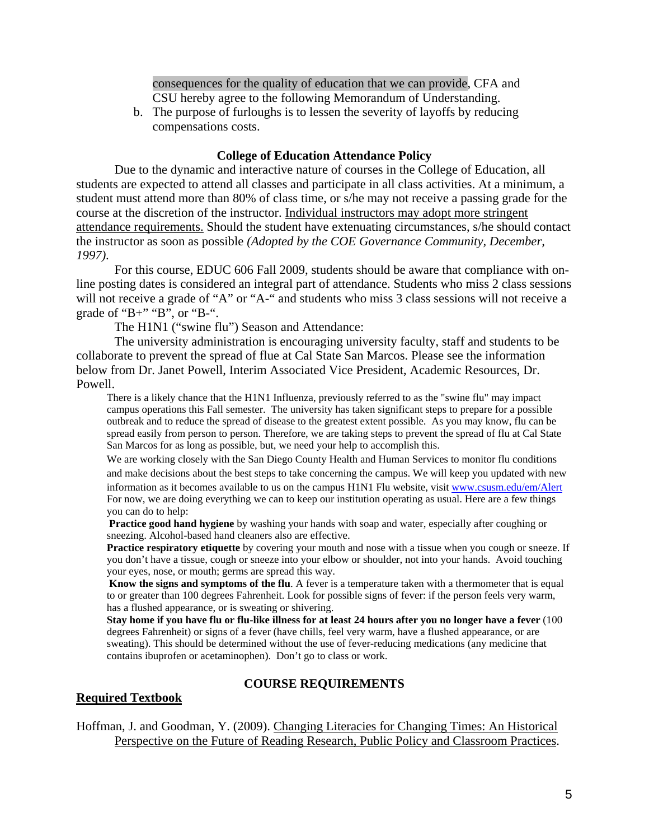consequences for the quality of education that we can provide, CFA and CSU hereby agree to the following Memorandum of Understanding.

b. The purpose of furloughs is to lessen the severity of layoffs by reducing compensations costs.

#### **College of Education Attendance Policy**

Due to the dynamic and interactive nature of courses in the College of Education, all students are expected to attend all classes and participate in all class activities. At a minimum, a student must attend more than 80% of class time, or s/he may not receive a passing grade for the course at the discretion of the instructor. Individual instructors may adopt more stringent attendance requirements. Should the student have extenuating circumstances, s/he should contact the instructor as soon as possible *(Adopted by the COE Governance Community, December, 1997)*.

For this course, EDUC 606 Fall 2009, students should be aware that compliance with online posting dates is considered an integral part of attendance. Students who miss 2 class sessions will not receive a grade of "A" or "A-" and students who miss 3 class sessions will not receive a grade of "B+" "B", or "B-".

The H1N1 ("swine flu") Season and Attendance:

The university administration is encouraging university faculty, staff and students to be collaborate to prevent the spread of flue at Cal State San Marcos. Please see the information below from Dr. Janet Powell, Interim Associated Vice President, Academic Resources, Dr. Powell.

There is a likely chance that the H1N1 Influenza, previously referred to as the "swine flu" may impact campus operations this Fall semester. The university has taken significant steps to prepare for a possible outbreak and to reduce the spread of disease to the greatest extent possible. As you may know, flu can be spread easily from person to person. Therefore, we are taking steps to prevent the spread of flu at Cal State San Marcos for as long as possible, but, we need your help to accomplish this.

We are working closely with the San Diego County Health and Human Services to monitor flu conditions and make decisions about the best steps to take concerning the campus. We will keep you updated with new information as it becomes available to us on the campus H1N1 Flu website, visit www.csusm.edu/em/Alert For now, we are doing everything we can to keep our institution operating as usual. Here are a few things you can do to help:

**Practice good hand hygiene** by washing your hands with soap and water, especially after coughing or sneezing. Alcohol-based hand cleaners also are effective.

**Practice respiratory etiquette** by covering your mouth and nose with a tissue when you cough or sneeze. If you don't have a tissue, cough or sneeze into your elbow or shoulder, not into your hands. Avoid touching your eyes, nose, or mouth; germs are spread this way.

**Know the signs and symptoms of the flu**. A fever is a temperature taken with a thermometer that is equal to or greater than 100 degrees Fahrenheit. Look for possible signs of fever: if the person feels very warm, has a flushed appearance, or is sweating or shivering.

**Stay home if you have flu or flu-like illness for at least 24 hours after you no longer have a fever** (100 degrees Fahrenheit) or signs of a fever (have chills, feel very warm, have a flushed appearance, or are sweating). This should be determined without the use of fever-reducing medications (any medicine that contains ibuprofen or acetaminophen). Don't go to class or work.

### **COURSE REQUIREMENTS**

### **Required Textbook**

Hoffman, J. and Goodman, Y. (2009). Changing Literacies for Changing Times: An Historical Perspective on the Future of Reading Research, Public Policy and Classroom Practices.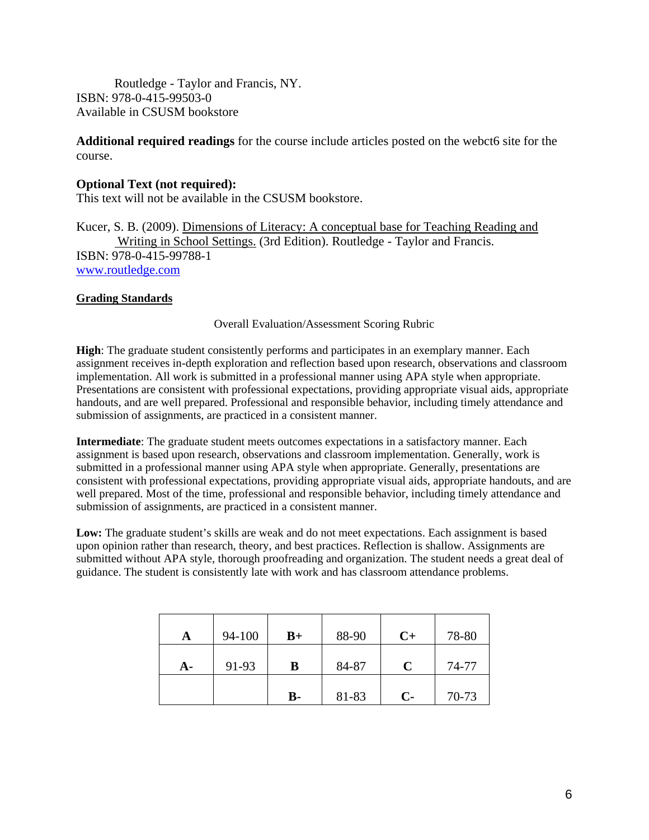Routledge - Taylor and Francis, NY. ISBN: 978-0-415-99503-0 Available in CSUSM bookstore

**Additional required readings** for the course include articles posted on the webct6 site for the course.

## **Optional Text (not required):**

This text will not be available in the CSUSM bookstore.

Kucer, S. B. (2009). Dimensions of Literacy: A conceptual base for Teaching Reading and Writing in School Settings. (3rd Edition). Routledge - Taylor and Francis. ISBN: 978-0-415-99788-1 www.routledge.com

### **Grading Standards**

#### Overall Evaluation/Assessment Scoring Rubric

**High**: The graduate student consistently performs and participates in an exemplary manner. Each assignment receives in-depth exploration and reflection based upon research, observations and classroom implementation. All work is submitted in a professional manner using APA style when appropriate. Presentations are consistent with professional expectations, providing appropriate visual aids, appropriate handouts, and are well prepared. Professional and responsible behavior, including timely attendance and submission of assignments, are practiced in a consistent manner.

**Intermediate**: The graduate student meets outcomes expectations in a satisfactory manner. Each assignment is based upon research, observations and classroom implementation. Generally, work is submitted in a professional manner using APA style when appropriate. Generally, presentations are consistent with professional expectations, providing appropriate visual aids, appropriate handouts, and are well prepared. Most of the time, professional and responsible behavior, including timely attendance and submission of assignments, are practiced in a consistent manner.

**Low:** The graduate student's skills are weak and do not meet expectations. Each assignment is based upon opinion rather than research, theory, and best practices. Reflection is shallow. Assignments are submitted without APA style, thorough proofreading and organization. The student needs a great deal of guidance. The student is consistently late with work and has classroom attendance problems.

| A  | 94-100 | $B+$           | 88-90 | $C+$ | 78-80 |
|----|--------|----------------|-------|------|-------|
| A- | 91-93  | в              | 84-87 | C    | 74-77 |
|    |        | $\mathbf{B}$ - | 81-83 | $C-$ | 70-73 |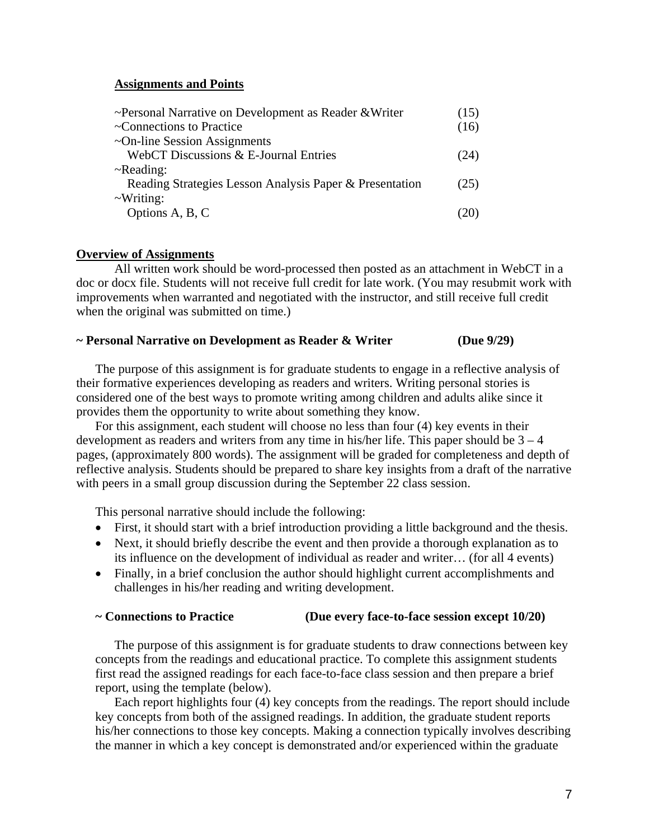#### **Assignments and Points**

| ~Personal Narrative on Development as Reader & Writer   | (15) |
|---------------------------------------------------------|------|
| ~Connections to Practice                                | (16) |
| $\sim$ On-line Session Assignments                      |      |
| WebCT Discussions & E-Journal Entries                   | (24) |
| $\neg$ Reading:                                         |      |
| Reading Strategies Lesson Analysis Paper & Presentation | (25) |
| $\sim$ Writing:                                         |      |
| Options A, B, C                                         |      |

#### **Overview of Assignments**

All written work should be word-processed then posted as an attachment in WebCT in a doc or docx file. Students will not receive full credit for late work. (You may resubmit work with improvements when warranted and negotiated with the instructor, and still receive full credit when the original was submitted on time.)

#### **~ Personal Narrative on Development as Reader & Writer (Due 9/29)**

The purpose of this assignment is for graduate students to engage in a reflective analysis of their formative experiences developing as readers and writers. Writing personal stories is considered one of the best ways to promote writing among children and adults alike since it provides them the opportunity to write about something they know.

For this assignment, each student will choose no less than four (4) key events in their development as readers and writers from any time in his/her life. This paper should be  $3 - 4$ pages, (approximately 800 words). The assignment will be graded for completeness and depth of reflective analysis. Students should be prepared to share key insights from a draft of the narrative with peers in a small group discussion during the September 22 class session.

This personal narrative should include the following:

- First, it should start with a brief introduction providing a little background and the thesis.
- Next, it should briefly describe the event and then provide a thorough explanation as to its influence on the development of individual as reader and writer… (for all 4 events)
- Finally, in a brief conclusion the author should highlight current accomplishments and challenges in his/her reading and writing development.

#### **~ Connections to Practice (Due every face-to-face session except 10/20)**

The purpose of this assignment is for graduate students to draw connections between key concepts from the readings and educational practice. To complete this assignment students first read the assigned readings for each face-to-face class session and then prepare a brief report, using the template (below).

Each report highlights four (4) key concepts from the readings. The report should include key concepts from both of the assigned readings. In addition, the graduate student reports his/her connections to those key concepts. Making a connection typically involves describing the manner in which a key concept is demonstrated and/or experienced within the graduate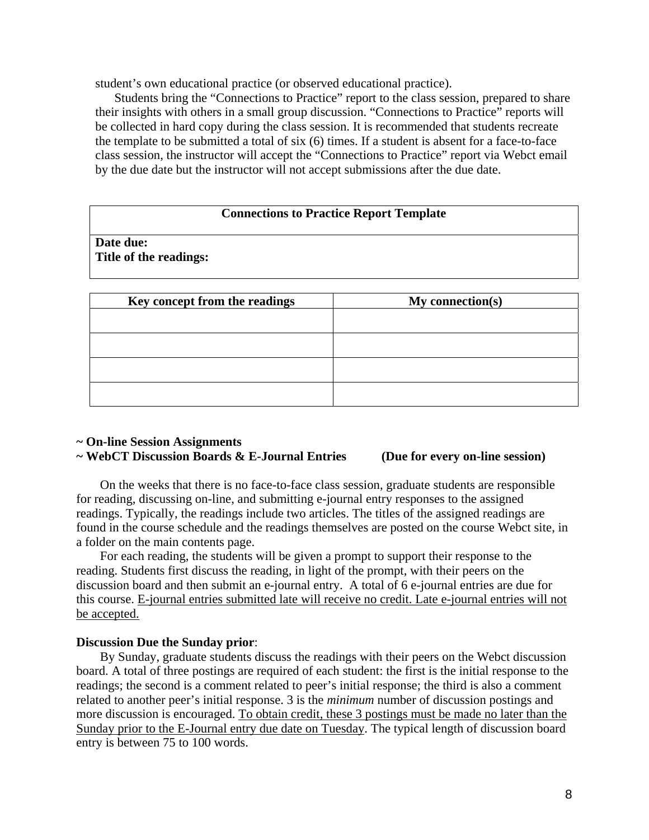student's own educational practice (or observed educational practice).

Students bring the "Connections to Practice" report to the class session, prepared to share their insights with others in a small group discussion. "Connections to Practice" reports will be collected in hard copy during the class session. It is recommended that students recreate the template to be submitted a total of six (6) times. If a student is absent for a face-to-face class session, the instructor will accept the "Connections to Practice" report via Webct email by the due date but the instructor will not accept submissions after the due date.

#### **Connections to Practice Report Template**

**Date due: Title of the readings:** 

| Key concept from the readings | My connection(s) |
|-------------------------------|------------------|
|                               |                  |
|                               |                  |
|                               |                  |
|                               |                  |

#### **~ On-line Session Assignments ~ WebCT Discussion Boards & E-Journal Entries (Due for every on-line session)**

On the weeks that there is no face-to-face class session, graduate students are responsible for reading, discussing on-line, and submitting e-journal entry responses to the assigned readings. Typically, the readings include two articles. The titles of the assigned readings are found in the course schedule and the readings themselves are posted on the course Webct site, in a folder on the main contents page.

For each reading, the students will be given a prompt to support their response to the reading. Students first discuss the reading, in light of the prompt, with their peers on the discussion board and then submit an e-journal entry. A total of 6 e-journal entries are due for this course. E-journal entries submitted late will receive no credit. Late e-journal entries will not be accepted.

#### **Discussion Due the Sunday prior**:

By Sunday, graduate students discuss the readings with their peers on the Webct discussion board. A total of three postings are required of each student: the first is the initial response to the readings; the second is a comment related to peer's initial response; the third is also a comment related to another peer's initial response. 3 is the *minimum* number of discussion postings and more discussion is encouraged. To obtain credit, these 3 postings must be made no later than the Sunday prior to the E-Journal entry due date on Tuesday. The typical length of discussion board entry is between 75 to 100 words.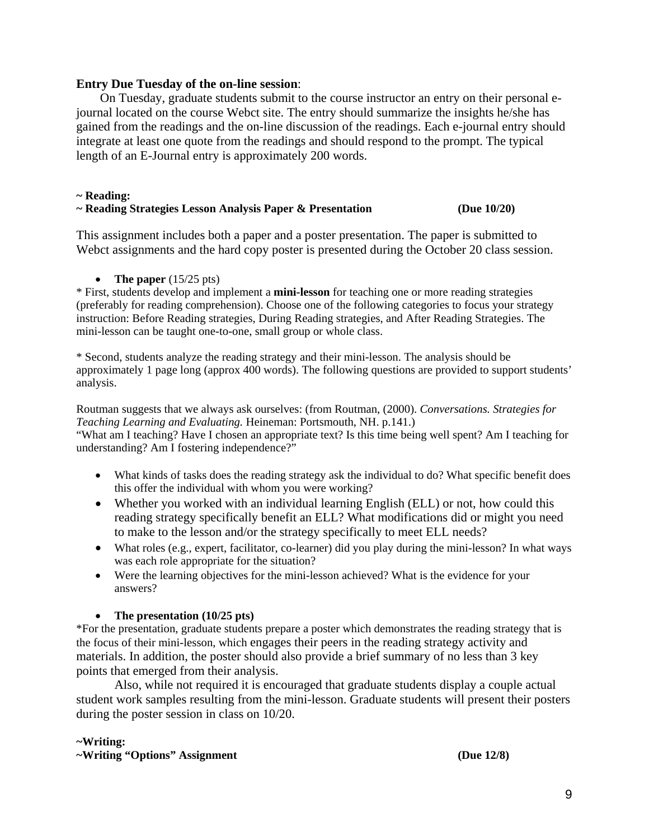#### **Entry Due Tuesday of the on-line session**:

On Tuesday, graduate students submit to the course instructor an entry on their personal ejournal located on the course Webct site. The entry should summarize the insights he/she has gained from the readings and the on-line discussion of the readings. Each e-journal entry should integrate at least one quote from the readings and should respond to the prompt. The typical length of an E-Journal entry is approximately 200 words.

#### **~ Reading:**

#### **~ Reading Strategies Lesson Analysis Paper & Presentation (Due 10/20)**

This assignment includes both a paper and a poster presentation. The paper is submitted to Webct assignments and the hard copy poster is presented during the October 20 class session.

#### • **The paper**  $(15/25 \text{ pts})$

\* First, students develop and implement a **mini-lesson** for teaching one or more reading strategies (preferably for reading comprehension). Choose one of the following categories to focus your strategy instruction: Before Reading strategies, During Reading strategies, and After Reading Strategies. The mini-lesson can be taught one-to-one, small group or whole class.

\* Second, students analyze the reading strategy and their mini-lesson. The analysis should be approximately 1 page long (approx 400 words). The following questions are provided to support students' analysis.

Routman suggests that we always ask ourselves: (from Routman, (2000). *Conversations. Strategies for Teaching Learning and Evaluating.* Heineman: Portsmouth, NH. p.141.)

"What am I teaching? Have I chosen an appropriate text? Is this time being well spent? Am I teaching for understanding? Am I fostering independence?"

- What kinds of tasks does the reading strategy ask the individual to do? What specific benefit does this offer the individual with whom you were working?
- Whether you worked with an individual learning English (ELL) or not, how could this reading strategy specifically benefit an ELL? What modifications did or might you need to make to the lesson and/or the strategy specifically to meet ELL needs?
- was each role appropriate for the situation? • What roles (e.g., expert, facilitator, co-learner) did you play during the mini-lesson? In what ways
- Were the learning objectives for the mini-lesson achieved? What is the evidence for your answers?

### • **The presentation (10/25 pts)**

\*For the presentation, graduate students prepare a poster which demonstrates the reading strategy that is the focus of their mini-lesson, which engages their peers in the reading strategy activity and materials. In addition, the poster should also provide a brief summary of no less than 3 key points that emerged from their analysis.

Also, while not required it is encouraged that graduate students display a couple actual student work samples resulting from the mini-lesson. Graduate students will present their posters during the poster session in class on 10/20.

### **~Writing:**

**~Writing "Options" Assignment (Due 12/8)**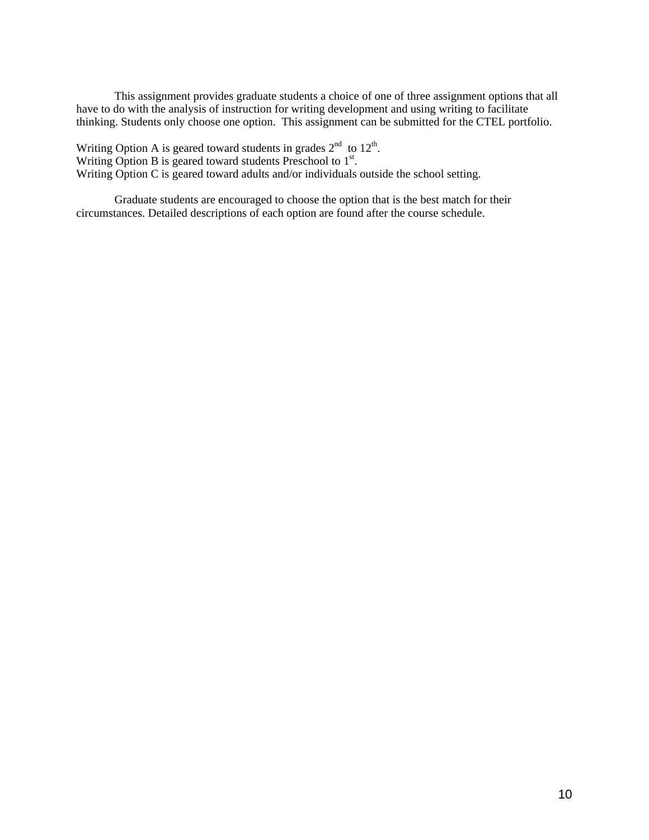This assignment provides graduate students a choice of one of three assignment options that all have to do with the analysis of instruction for writing development and using writing to facilitate thinking. Students only choose one option. This assignment can be submitted for the CTEL portfolio.

Writing Option A is geared toward students in grades  $2<sup>nd</sup>$  to  $12<sup>th</sup>$ . Writing Option B is geared toward students Preschool to  $1<sup>st</sup>$ . Writing Option C is geared toward adults and/or individuals outside the school setting.

Graduate students are encouraged to choose the option that is the best match for their circumstances. Detailed descriptions of each option are found after the course schedule.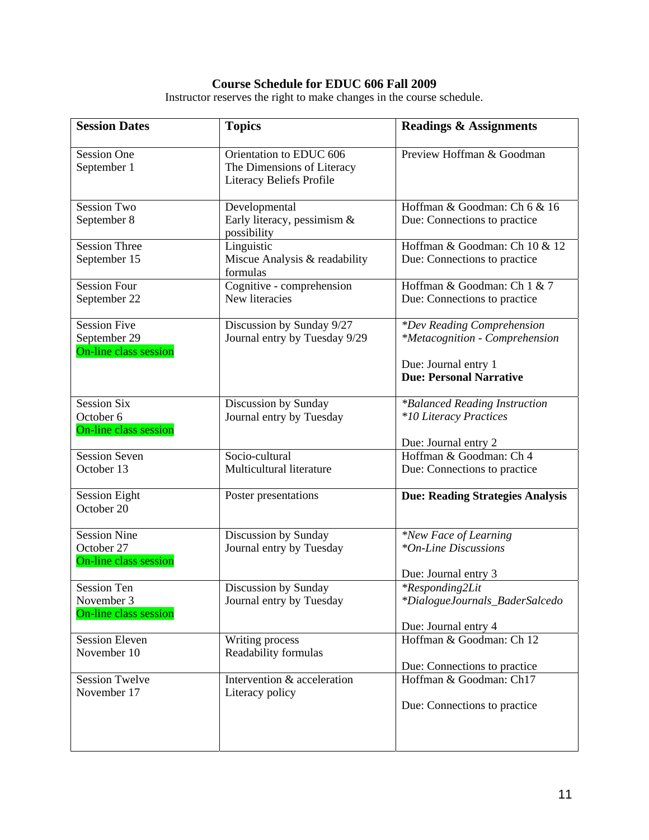#### **Course Schedule for EDUC 606 Fall 2009**

Instructor reserves the right to make changes in the course schedule.

| <b>Session Dates</b>                                         | <b>Topics</b>                                                                     | <b>Readings &amp; Assignments</b>                                                |
|--------------------------------------------------------------|-----------------------------------------------------------------------------------|----------------------------------------------------------------------------------|
| <b>Session One</b><br>September 1                            | Orientation to EDUC 606<br>The Dimensions of Literacy<br>Literacy Beliefs Profile | Preview Hoffman & Goodman                                                        |
| <b>Session Two</b><br>September 8                            | Developmental<br>Early literacy, pessimism $\&$<br>possibility                    | Hoffman & Goodman: Ch 6 & 16<br>Due: Connections to practice                     |
| <b>Session Three</b><br>September 15                         | Linguistic<br>Miscue Analysis & readability<br>formulas                           | Hoffman & Goodman: Ch 10 & 12<br>Due: Connections to practice                    |
| <b>Session Four</b><br>September 22                          | Cognitive - comprehension<br>New literacies                                       | Hoffman & Goodman: Ch 1 & 7<br>Due: Connections to practice                      |
| <b>Session Five</b><br>September 29<br>On-line class session | Discussion by Sunday 9/27<br>Journal entry by Tuesday 9/29                        | <i>*Dev Reading Comprehension</i><br><i>*Metacognition - Comprehension</i>       |
|                                                              |                                                                                   | Due: Journal entry 1<br><b>Due: Personal Narrative</b>                           |
| <b>Session Six</b><br>October 6<br>On-line class session     | Discussion by Sunday<br>Journal entry by Tuesday                                  | *Balanced Reading Instruction<br>*10 Literacy Practices<br>Due: Journal entry 2  |
| <b>Session Seven</b><br>October 13                           | Socio-cultural<br>Multicultural literature                                        | Hoffman & Goodman: Ch 4<br>Due: Connections to practice                          |
| <b>Session Eight</b><br>October 20                           | Poster presentations                                                              | <b>Due: Reading Strategies Analysis</b>                                          |
| <b>Session Nine</b><br>October 27<br>On-line class session   | Discussion by Sunday<br>Journal entry by Tuesday                                  | *New Face of Learning<br>*On-Line Discussions<br>Due: Journal entry 3            |
| <b>Session Ten</b><br>November 3<br>On-line class session    | Discussion by Sunday<br>Journal entry by Tuesday                                  | <i>*Responding2Lit</i><br>*DialogueJournals_BaderSalcedo<br>Due: Journal entry 4 |
| <b>Session Eleven</b><br>November 10                         | Writing process<br>Readability formulas                                           | Hoffman & Goodman: Ch 12<br>Due: Connections to practice                         |
| <b>Session Twelve</b><br>November 17                         | Intervention & acceleration<br>Literacy policy                                    | Hoffman & Goodman: Ch17<br>Due: Connections to practice                          |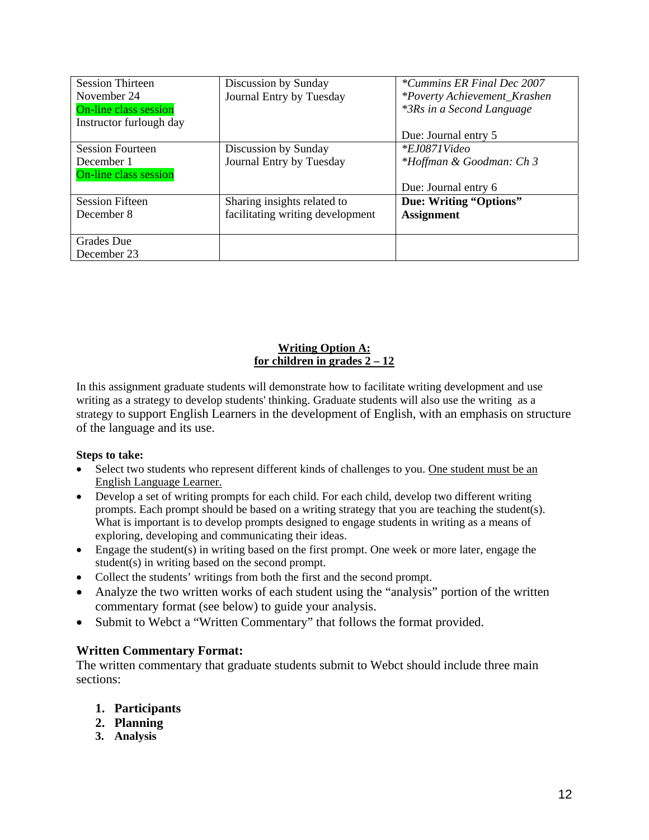| <b>Session Thirteen</b>      | Discussion by Sunday             | *Cummins ER Final Dec 2007       |
|------------------------------|----------------------------------|----------------------------------|
| November 24                  | Journal Entry by Tuesday         | *Poverty Achievement_Krashen     |
| <b>On-line class session</b> |                                  | <i>*3Rs in a Second Language</i> |
| Instructor furlough day      |                                  |                                  |
|                              |                                  | Due: Journal entry 5             |
| <b>Session Fourteen</b>      | Discussion by Sunday             | $*EJ0871Video$                   |
| December 1                   | Journal Entry by Tuesday         | *Hoffman & Goodman: Ch 3         |
| On-line class session        |                                  |                                  |
|                              |                                  | Due: Journal entry 6             |
| <b>Session Fifteen</b>       | Sharing insights related to      | Due: Writing "Options"           |
| December 8                   | facilitating writing development | <b>Assignment</b>                |
|                              |                                  |                                  |
| <b>Grades</b> Due            |                                  |                                  |
| December 23                  |                                  |                                  |

## **Writing Option A: for children in grades 2 – 12**

In this assignment graduate students will demonstrate how to facilitate writing development and use writing as a strategy to develop students' thinking. Graduate students will also use the writing as a strategy to support English Learners in the development of English, with an emphasis on structure of the language and its use.

### **Steps to take:**

- Select two students who represent different kinds of challenges to you. One student must be an English Language Learner.
- Develop a set of writing prompts for each child. For each child, develop two different writing prompts. Each prompt should be based on a writing strategy that you are teaching the student(s). What is important is to develop prompts designed to engage students in writing as a means of exploring, developing and communicating their ideas.
- Engage the student(s) in writing based on the first prompt. One week or more later, engage the student(s) in writing based on the second prompt.
- Collect the students' writings from both the first and the second prompt.
- Analyze the two written works of each student using the "analysis" portion of the written commentary format (see below) to guide your analysis.
- Submit to Webct a "Written Commentary" that follows the format provided.

### **Written Commentary Format:**

The written commentary that graduate students submit to Webct should include three main sections:

- **1. Participants**
- **2. Planning**
- **3. Analysis**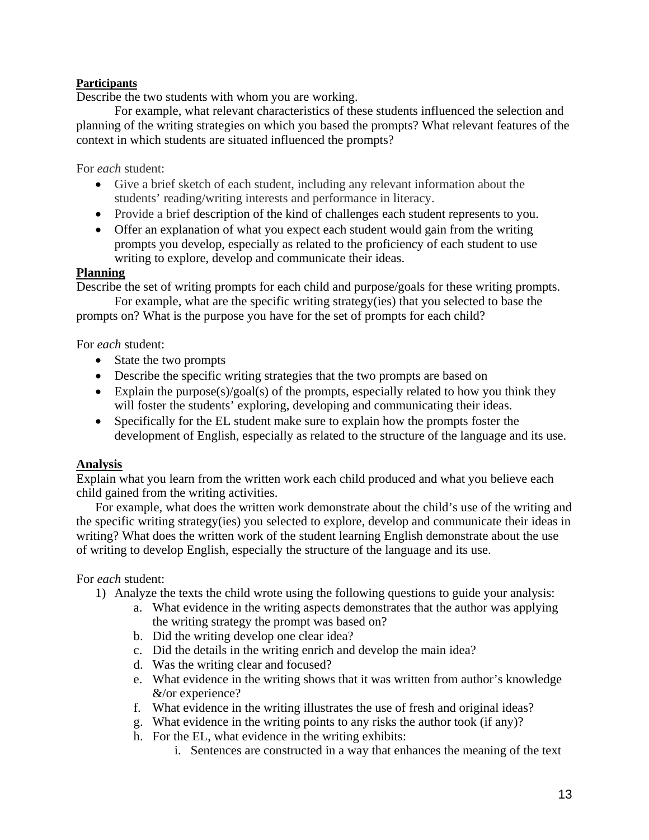## **Participants**

Describe the two students with whom you are working.

For example, what relevant characteristics of these students influenced the selection and planning of the writing strategies on which you based the prompts? What relevant features of the context in which students are situated influenced the prompts?

For *each* student:

- Give a brief sketch of each student, including any relevant information about the students' reading/writing interests and performance in literacy.
- Provide a brief description of the kind of challenges each student represents to you.
- Offer an explanation of what you expect each student would gain from the writing prompts you develop, especially as related to the proficiency of each student to use writing to explore, develop and communicate their ideas.

## **Planning**

Describe the set of writing prompts for each child and purpose/goals for these writing prompts.

For example, what are the specific writing strategy(ies) that you selected to base the prompts on? What is the purpose you have for the set of prompts for each child?

For *each* student:

- State the two prompts
- Describe the specific writing strategies that the two prompts are based on
- Explain the purpose(s)/goal(s) of the prompts, especially related to how you think they will foster the students' exploring, developing and communicating their ideas.
- Specifically for the EL student make sure to explain how the prompts foster the development of English, especially as related to the structure of the language and its use.

## **Analysis**

Explain what you learn from the written work each child produced and what you believe each child gained from the writing activities.

For example, what does the written work demonstrate about the child's use of the writing and the specific writing strategy(ies) you selected to explore, develop and communicate their ideas in writing? What does the written work of the student learning English demonstrate about the use of writing to develop English, especially the structure of the language and its use.

## For *each* student:

- 1) Analyze the texts the child wrote using the following questions to guide your analysis:
	- a. What evidence in the writing aspects demonstrates that the author was applying the writing strategy the prompt was based on?
	- b. Did the writing develop one clear idea?
	- c. Did the details in the writing enrich and develop the main idea?
	- d. Was the writing clear and focused?
	- e. What evidence in the writing shows that it was written from author's knowledge &/or experience?
	- f. What evidence in the writing illustrates the use of fresh and original ideas?
	- g. What evidence in the writing points to any risks the author took (if any)?
	- h. For the EL, what evidence in the writing exhibits:
		- i. Sentences are constructed in a way that enhances the meaning of the text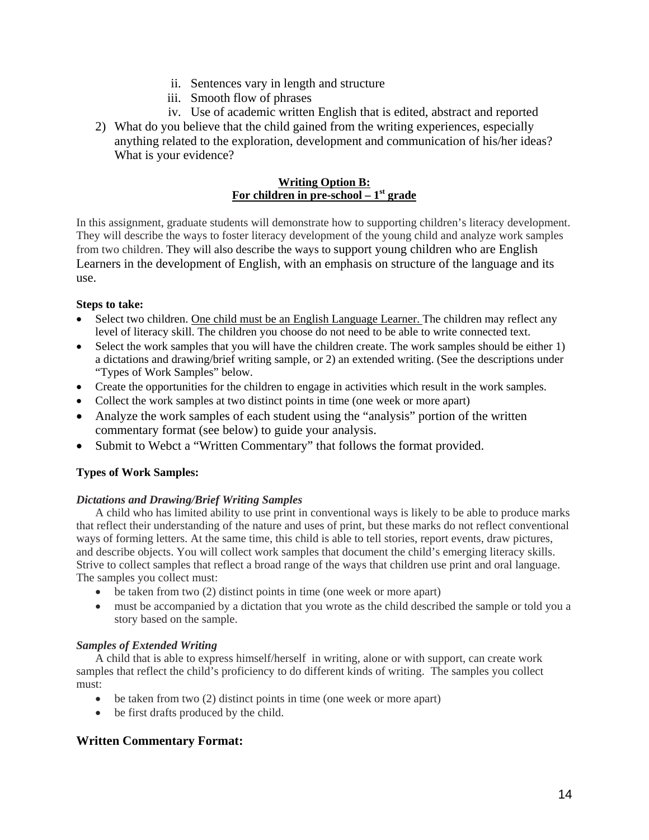- ii. Sentences vary in length and structure
- iii. Smooth flow of phrases
- iv. Use of academic written English that is edited, abstract and reported
- 2) What do you believe that the child gained from the writing experiences, especially anything related to the exploration, development and communication of his/her ideas? What is your evidence?

#### **Writing Option B: For children in pre-school – 1st grade**

In this assignment, graduate students will demonstrate how to supporting children's literacy development. They will describe the ways to foster literacy development of the young child and analyze work samples from two children. They will also describe the ways to support young children who are English Learners in the development of English, with an emphasis on structure of the language and its use.

#### **Steps to take:**

- Select two children. One child must be an English Language Learner. The children may reflect any level of literacy skill. The children you choose do not need to be able to write connected text.
- Select the work samples that you will have the children create. The work samples should be either 1) a dictations and drawing/brief writing sample, or 2) an extended writing. (See the descriptions under "Types of Work Samples" below.
- Create the opportunities for the children to engage in activities which result in the work samples.
- Collect the work samples at two distinct points in time (one week or more apart)
- Analyze the work samples of each student using the "analysis" portion of the written commentary format (see below) to guide your analysis.
- Submit to Webct a "Written Commentary" that follows the format provided.

### **Types of Work Samples:**

### *Dictations and Drawing/Brief Writing Samples*

A child who has limited ability to use print in conventional ways is likely to be able to produce marks that reflect their understanding of the nature and uses of print, but these marks do not reflect conventional ways of forming letters. At the same time, this child is able to tell stories, report events, draw pictures, and describe objects. You will collect work samples that document the child's emerging literacy skills. Strive to collect samples that reflect a broad range of the ways that children use print and oral language. The samples you collect must:

- be taken from two  $(2)$  distinct points in time (one week or more apart)
- must be accompanied by a dictation that you wrote as the child described the sample or told you a story based on the sample.

#### *Samples of Extended Writing*

A child that is able to express himself/herself in writing, alone or with support, can create work samples that reflect the child's proficiency to do different kinds of writing. The samples you collect must:

- $\bullet$  be taken from two (2) distinct points in time (one week or more apart)
- be first drafts produced by the child.

## **Written Commentary Format:**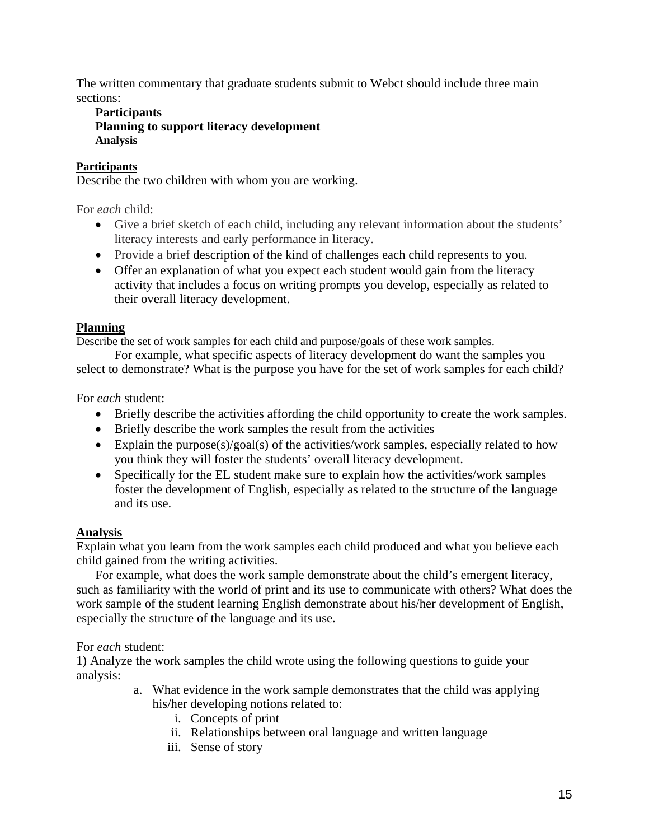The written commentary that graduate students submit to Webct should include three main sections:

## **Participants Planning to support literacy development Analysis**

## **Participants**

Describe the two children with whom you are working.

For *each* child:

- Give a brief sketch of each child, including any relevant information about the students' literacy interests and early performance in literacy.
- Provide a brief description of the kind of challenges each child represents to you.
- Offer an explanation of what you expect each student would gain from the literacy activity that includes a focus on writing prompts you develop, especially as related to their overall literacy development.

## **Planning**

Describe the set of work samples for each child and purpose/goals of these work samples.

For example, what specific aspects of literacy development do want the samples you select to demonstrate? What is the purpose you have for the set of work samples for each child?

For *each* student:

- Briefly describe the activities affording the child opportunity to create the work samples.
- Briefly describe the work samples the result from the activities
- Explain the purpose(s)/goal(s) of the activities/work samples, especially related to how you think they will foster the students' overall literacy development.
- Specifically for the EL student make sure to explain how the activities/work samples foster the development of English, especially as related to the structure of the language and its use.

## **Analysis**

Explain what you learn from the work samples each child produced and what you believe each child gained from the writing activities.

For example, what does the work sample demonstrate about the child's emergent literacy, such as familiarity with the world of print and its use to communicate with others? What does the work sample of the student learning English demonstrate about his/her development of English, especially the structure of the language and its use.

### For *each* student:

1) Analyze the work samples the child wrote using the following questions to guide your analysis:

- a. What evidence in the work sample demonstrates that the child was applying his/her developing notions related to:
	- i. Concepts of print
	- ii. Relationships between oral language and written language
	- iii. Sense of story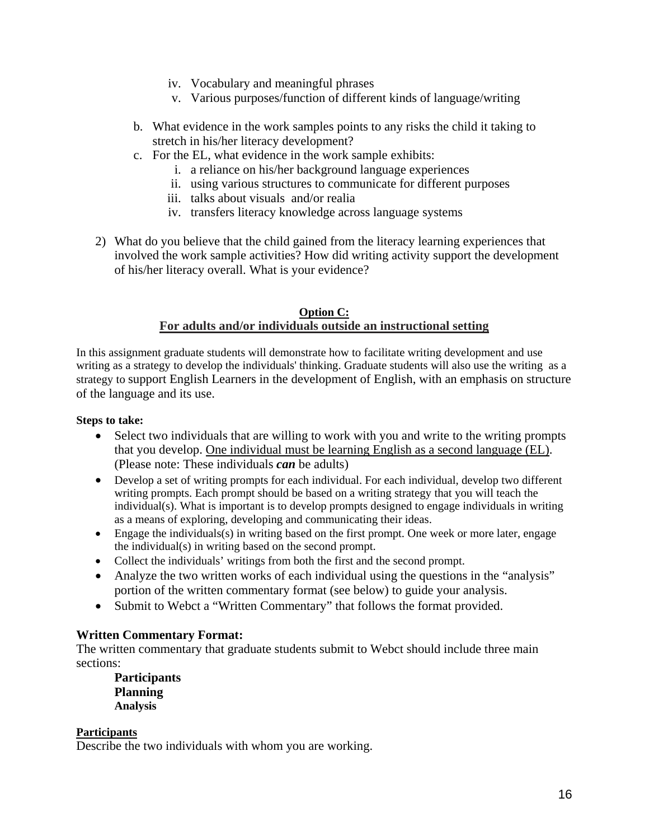- iv. Vocabulary and meaningful phrases
- v. Various purposes/function of different kinds of language/writing
- b. What evidence in the work samples points to any risks the child it taking to stretch in his/her literacy development?
- c. For the EL, what evidence in the work sample exhibits:
	- i. a reliance on his/her background language experiences
	- ii. using various structures to communicate for different purposes
	- iii. talks about visuals and/or realia
	- iv. transfers literacy knowledge across language systems
- 2) What do you believe that the child gained from the literacy learning experiences that involved the work sample activities? How did writing activity support the development of his/her literacy overall. What is your evidence?

#### **Option C: For adults and/or individuals outside an instructional setting**

In this assignment graduate students will demonstrate how to facilitate writing development and use writing as a strategy to develop the individuals' thinking. Graduate students will also use the writing as a strategy to support English Learners in the development of English, with an emphasis on structure of the language and its use.

#### **Steps to take:**

- Select two individuals that are willing to work with you and write to the writing prompts that you develop. One individual must be learning English as a second language (EL). (Please note: These individuals *can* be adults)
- Develop a set of writing prompts for each individual. For each individual, develop two different writing prompts. Each prompt should be based on a writing strategy that you will teach the individual(s). What is important is to develop prompts designed to engage individuals in writing as a means of exploring, developing and communicating their ideas.
- Engage the individuals(s) in writing based on the first prompt. One week or more later, engage the individual(s) in writing based on the second prompt.
- Collect the individuals' writings from both the first and the second prompt.
- Analyze the two written works of each individual using the questions in the "analysis" portion of the written commentary format (see below) to guide your analysis.
- Submit to Webct a "Written Commentary" that follows the format provided.

### **Written Commentary Format:**

The written commentary that graduate students submit to Webct should include three main sections:

**Participants Planning Analysis** 

### **Participants**

Describe the two individuals with whom you are working.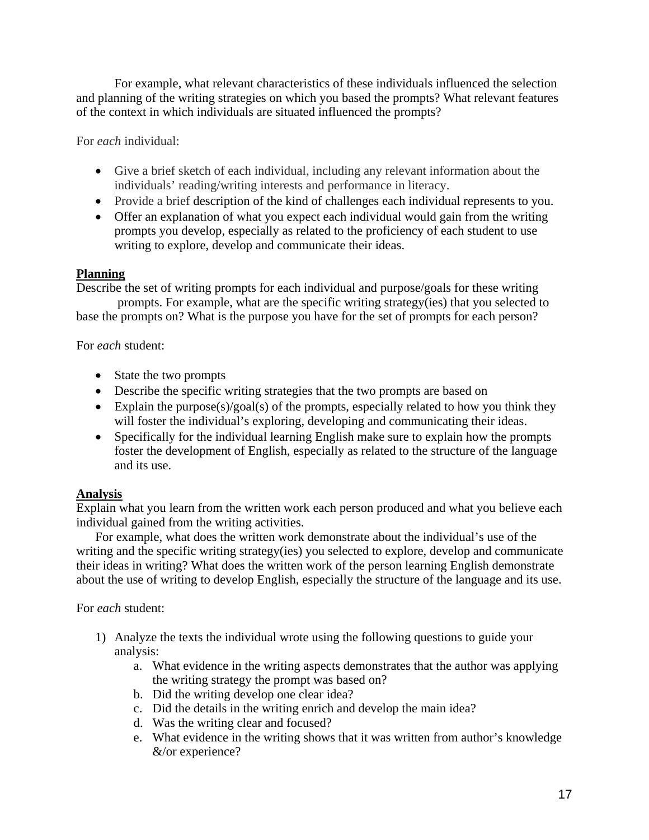For example, what relevant characteristics of these individuals influenced the selection and planning of the writing strategies on which you based the prompts? What relevant features of the context in which individuals are situated influenced the prompts?

For *each* individual:

- Give a brief sketch of each individual, including any relevant information about the individuals' reading/writing interests and performance in literacy.
- Provide a brief description of the kind of challenges each individual represents to you.
- Offer an explanation of what you expect each individual would gain from the writing prompts you develop, especially as related to the proficiency of each student to use writing to explore, develop and communicate their ideas.

# **Planning**

Describe the set of writing prompts for each individual and purpose/goals for these writing prompts. For example, what are the specific writing strategy(ies) that you selected to base the prompts on? What is the purpose you have for the set of prompts for each person?

# For *each* student:

- State the two prompts
- Describe the specific writing strategies that the two prompts are based on
- Explain the purpose(s)/goal(s) of the prompts, especially related to how you think they will foster the individual's exploring, developing and communicating their ideas.
- Specifically for the individual learning English make sure to explain how the prompts foster the development of English, especially as related to the structure of the language and its use.

# **Analysis**

Explain what you learn from the written work each person produced and what you believe each individual gained from the writing activities.

For example, what does the written work demonstrate about the individual's use of the writing and the specific writing strategy(ies) you selected to explore, develop and communicate their ideas in writing? What does the written work of the person learning English demonstrate about the use of writing to develop English, especially the structure of the language and its use.

For *each* student:

- 1) Analyze the texts the individual wrote using the following questions to guide your analysis:
	- a. What evidence in the writing aspects demonstrates that the author was applying the writing strategy the prompt was based on?
	- b. Did the writing develop one clear idea?
	- c. Did the details in the writing enrich and develop the main idea?
	- d. Was the writing clear and focused?
	- e. What evidence in the writing shows that it was written from author's knowledge &/or experience?